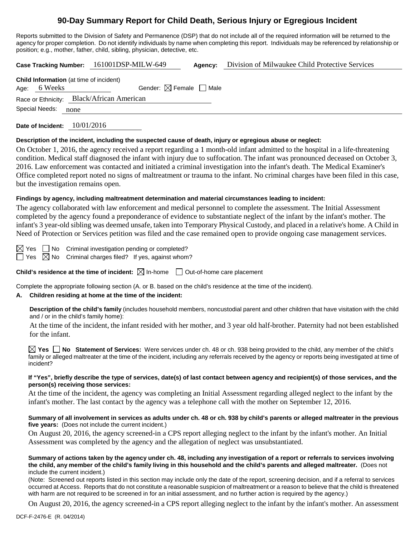# **90-Day Summary Report for Child Death, Serious Injury or Egregious Incident**

Reports submitted to the Division of Safety and Permanence (DSP) that do not include all of the required information will be returned to the agency for proper completion. Do not identify individuals by name when completing this report. Individuals may be referenced by relationship or position; e.g., mother, father, child, sibling, physician, detective, etc.

|                                           |                                                                | Case Tracking Number: 161001DSP-MILW-649 | Agency: | Division of Milwaukee Child Protective Services |  |  |  |
|-------------------------------------------|----------------------------------------------------------------|------------------------------------------|---------|-------------------------------------------------|--|--|--|
|                                           | <b>Child Information</b> (at time of incident)<br>Age: 6 Weeks | Gender: $\boxtimes$ Female   Male        |         |                                                 |  |  |  |
| Race or Ethnicity: Black/African American |                                                                |                                          |         |                                                 |  |  |  |
| Special Needs:<br>none                    |                                                                |                                          |         |                                                 |  |  |  |

**Date of Incident:** 10/01/2016

#### **Description of the incident, including the suspected cause of death, injury or egregious abuse or neglect:**

On October 1, 2016, the agency received a report regarding a 1 month-old infant admitted to the hospital in a life-threatening condition. Medical staff diagnosed the infant with injury due to suffocation. The infant was pronounced deceased on October 3, 2016. Law enforcement was contacted and initiated a criminal investigation into the infant's death. The Medical Examiner's Office completed report noted no signs of maltreatment or trauma to the infant. No criminal charges have been filed in this case, but the investigation remains open.

#### **Findings by agency, including maltreatment determination and material circumstances leading to incident:**

The agency collaborated with law enforcement and medical personnel to complete the assessment. The Initial Assessment completed by the agency found a preponderance of evidence to substantiate neglect of the infant by the infant's mother. The infant's 3 year-old sibling was deemed unsafe, taken into Temporary Physical Custody, and placed in a relative's home. A Child in Need of Protection or Services petition was filed and the case remained open to provide ongoing case management services.

 $\boxtimes$  Yes  $\Box$  No Criminal investigation pending or completed?

 $\Box$  Yes  $\Box$  No Criminal charges filed? If yes, against whom?

**Child's residence at the time of incident:**  $\boxtimes$  In-home  $\Box$  Out-of-home care placement

Complete the appropriate following section (A. or B. based on the child's residence at the time of the incident).

#### **A. Children residing at home at the time of the incident:**

**Description of the child's family** (includes household members, noncustodial parent and other children that have visitation with the child and / or in the child's family home):

At the time of the incident, the infant resided with her mother, and 3 year old half-brother. Paternity had not been established for the infant.

**Yes No Statement of Services:** Were services under ch. 48 or ch. 938 being provided to the child, any member of the child's family or alleged maltreater at the time of the incident, including any referrals received by the agency or reports being investigated at time of incident?

#### **If "Yes", briefly describe the type of services, date(s) of last contact between agency and recipient(s) of those services, and the person(s) receiving those services:**

At the time of the incident, the agency was completing an Initial Assessment regarding alleged neglect to the infant by the infant's mother. The last contact by the agency was a telephone call with the mother on September 12, 2016.

#### **Summary of all involvement in services as adults under ch. 48 or ch. 938 by child's parents or alleged maltreater in the previous five years:** (Does not include the current incident.)

On August 20, 2016, the agency screened-in a CPS report alleging neglect to the infant by the infant's mother. An Initial Assessment was completed by the agency and the allegation of neglect was unsubstantiated.

**Summary of actions taken by the agency under ch. 48, including any investigation of a report or referrals to services involving the child, any member of the child's family living in this household and the child's parents and alleged maltreater.** (Does not include the current incident.)

(Note: Screened out reports listed in this section may include only the date of the report, screening decision, and if a referral to services occurred at Access. Reports that do not constitute a reasonable suspicion of maltreatment or a reason to believe that the child is threatened with harm are not required to be screened in for an initial assessment, and no further action is required by the agency.)

On August 20, 2016, the agency screened-in a CPS report alleging neglect to the infant by the infant's mother. An assessment